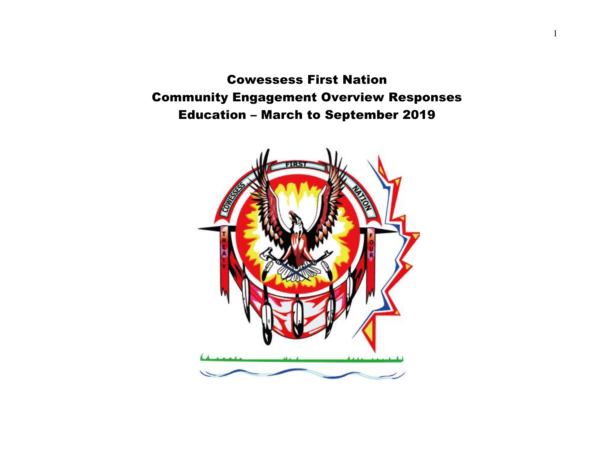Cowessess First Nation Community Engagement Overview Responses Education – March to September 2019

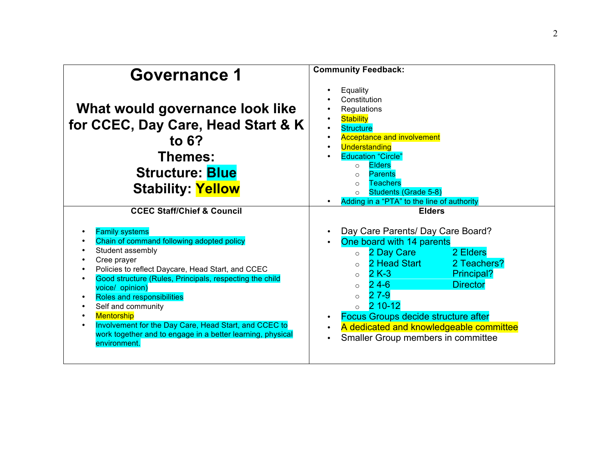| Governance 1                                                                                                                                                                                                                                                                                                                                                                                                                                                                              | <b>Community Feedback:</b>                                                                                                                                                                                                                                                                                                                                                                                                        |
|-------------------------------------------------------------------------------------------------------------------------------------------------------------------------------------------------------------------------------------------------------------------------------------------------------------------------------------------------------------------------------------------------------------------------------------------------------------------------------------------|-----------------------------------------------------------------------------------------------------------------------------------------------------------------------------------------------------------------------------------------------------------------------------------------------------------------------------------------------------------------------------------------------------------------------------------|
| What would governance look like<br>for CCEC, Day Care, Head Start & K<br>to $6?$<br>Themes:<br><b>Structure: Blue</b><br><b>Stability: Yellow</b>                                                                                                                                                                                                                                                                                                                                         | Equality<br>$\bullet$<br>Constitution<br>Regulations<br><b>Stability</b><br><b>Structure</b><br>$\bullet$<br><b>Acceptance and involvement</b><br>$\bullet$<br>Understanding<br>$\bullet$<br><b>Education "Circle"</b><br><b>Elders</b><br>$\circ$<br><b>Parents</b><br>$\circ$<br><b>Teachers</b><br>$\bigcirc$<br><b>Students (Grade 5-8)</b><br>$\circ$<br>Adding in a "PTA" to the line of authority                          |
| <b>CCEC Staff/Chief &amp; Council</b>                                                                                                                                                                                                                                                                                                                                                                                                                                                     | <b>Elders</b>                                                                                                                                                                                                                                                                                                                                                                                                                     |
| <b>Family systems</b><br>Chain of command following adopted policy<br>Student assembly<br>Cree prayer<br>Policies to reflect Daycare, Head Start, and CCEC<br>Good structure (Rules, Principals, respecting the child<br>voice/ opinion)<br><b>Roles and responsibilities</b><br>Self and community<br>$\bullet$<br><b>Mentorship</b><br>$\bullet$<br>Involvement for the Day Care, Head Start, and CCEC to<br>work together and to engage in a better learning, physical<br>environment. | Day Care Parents/ Day Care Board?<br>One board with 14 parents<br>$\bullet$<br>2 Day Care<br>2 Elders<br>$\circ$<br>2 Teachers?<br>2 Head Start<br>$\Omega$<br>$2K-3$<br>Principal?<br>$\circ$<br>$24-6$<br><b>Director</b><br>$\Omega$<br>$27-9$<br>$\Omega$<br>2 10-12<br><b>Focus Groups decide structure after</b><br>$\bullet$<br>A dedicated and knowledgeable committee<br>Smaller Group members in committee<br>$\bullet$ |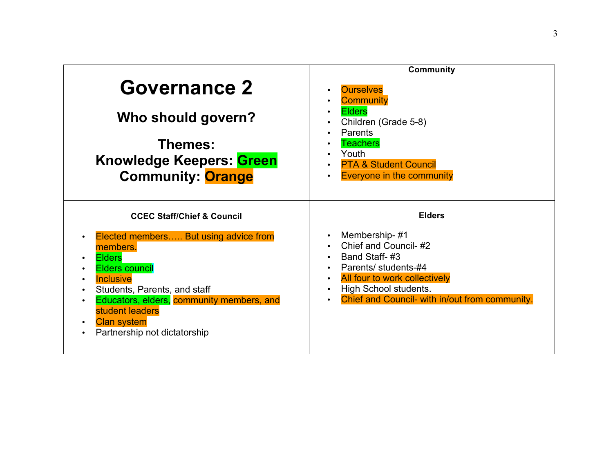|                                                        | <b>Community</b>                                               |
|--------------------------------------------------------|----------------------------------------------------------------|
| <b>Governance 2</b>                                    | <b>Ourselves</b><br>$\bullet$<br><b>Community</b><br>$\bullet$ |
| Who should govern?                                     | <b>Elders</b><br>$\bullet$<br>Children (Grade 5-8)<br>Parents  |
| Themes:                                                | <b>Teachers</b>                                                |
| <b>Knowledge Keepers: Green</b>                        | Youth<br><b>PTA &amp; Student Council</b><br>$\bullet$         |
| <b>Community: Orange</b>                               | <b>Everyone in the community</b><br>$\bullet$                  |
|                                                        |                                                                |
| <b>CCEC Staff/Chief &amp; Council</b>                  | <b>Elders</b>                                                  |
| Elected members But using advice from                  | Membership-#1<br>$\bullet$                                     |
| members.<br>$\bullet$                                  | Chief and Council-#2<br>Band Staff-#3<br>$\bullet$             |
| <b>Elders</b><br><b>Elders council</b><br>$\bullet$    | Parents/ students-#4                                           |
| <b>Inclusive</b>                                       | All four to work collectively<br>$\bullet$                     |
| Students, Parents, and staff                           | High School students.<br>$\bullet$                             |
| Educators, elders, community members, and<br>$\bullet$ | Chief and Council- with in/out from community.<br>$\bullet$    |
| student leaders<br><b>Clan system</b>                  |                                                                |
| Partnership not dictatorship                           |                                                                |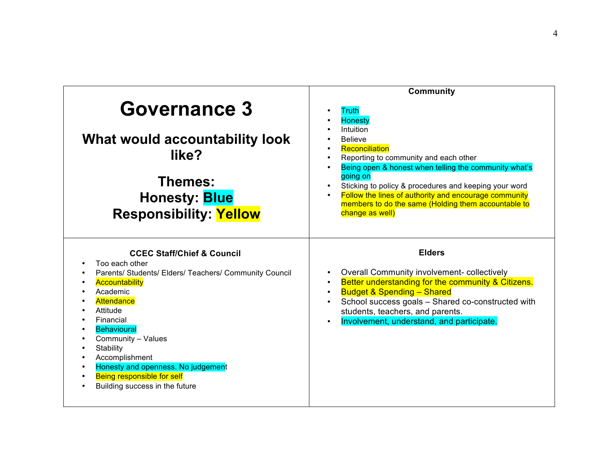|                                                                                                                                                                                                                                                                                                                                                                                       | <b>Community</b>                                                                                                                                                                                                                                                                                                                                                                          |
|---------------------------------------------------------------------------------------------------------------------------------------------------------------------------------------------------------------------------------------------------------------------------------------------------------------------------------------------------------------------------------------|-------------------------------------------------------------------------------------------------------------------------------------------------------------------------------------------------------------------------------------------------------------------------------------------------------------------------------------------------------------------------------------------|
| <b>Governance 3</b><br>What would accountability look<br>like?<br>Themes:<br><b>Honesty: Blue</b><br><b>Responsibility: Yellow</b>                                                                                                                                                                                                                                                    | <b>Truth</b><br><b>Honesty</b><br>Intuition<br><b>Believe</b><br>Reconciliation<br>Reporting to community and each other<br>Being open & honest when telling the community what's<br>going on<br>Sticking to policy & procedures and keeping your word<br>Follow the lines of authority and encourage community<br>members to do the same (Holding them accountable to<br>change as well) |
| <b>CCEC Staff/Chief &amp; Council</b><br>Too each other<br>Parents/ Students/ Elders/ Teachers/ Community Council<br><b>Accountability</b><br>Academic<br>Attendance<br>Attitude<br>Financial<br><b>Behavioural</b><br>Community - Values<br>Stability<br>Accomplishment<br>Honesty and openness. No judgement<br><b>Being responsible for self</b><br>Building success in the future | <b>Elders</b><br>Overall Community involvement-collectively<br>Better understanding for the community & Citizens.<br><b>Budget &amp; Spending - Shared</b><br>School success goals - Shared co-constructed with<br>students, teachers, and parents.<br>Involvement, understand, and participate.<br>$\bullet$                                                                             |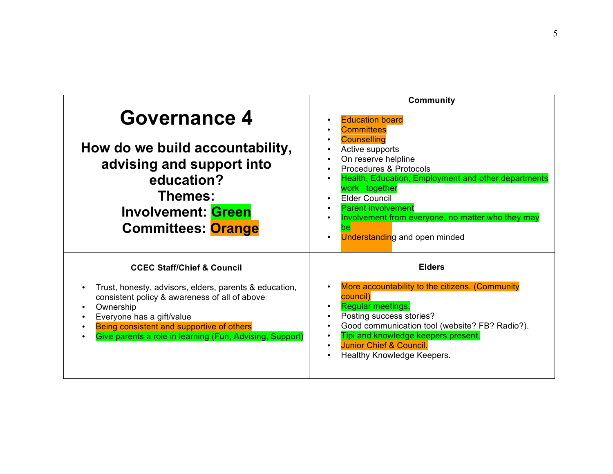|                                                                                                                                                                                                                                                                                                     | <b>Community</b>                                                                                                                                                                                                                                                                                                     |
|-----------------------------------------------------------------------------------------------------------------------------------------------------------------------------------------------------------------------------------------------------------------------------------------------------|----------------------------------------------------------------------------------------------------------------------------------------------------------------------------------------------------------------------------------------------------------------------------------------------------------------------|
| <b>Governance 4</b><br>How do we build accountability,                                                                                                                                                                                                                                              | <b>Education board</b><br><b>Committees</b><br><b>Counselling</b><br>Active supports                                                                                                                                                                                                                                 |
| advising and support into<br>education?<br>Themes:<br><b>Involvement: Green</b><br><b>Committees: Orange</b>                                                                                                                                                                                        | On reserve helpline<br>Procedures & Protocols<br>Health, Education, Employment and other departments<br>work together<br><b>Elder Council</b><br><b>Parent involvement</b><br>Involvement from everyone, no matter who they may<br>$\bullet$<br><b>Understanding and open minded</b><br>$\bullet$                    |
| <b>CCEC Staff/Chief &amp; Council</b><br>Trust, honesty, advisors, elders, parents & education,<br>consistent policy & awareness of all of above<br>Ownership<br>Everyone has a gift/value<br>Being consistent and supportive of others<br>Give parents a role in learning (Fun, Advising, Support) | <b>Elders</b><br>More accountability to the citizens. (Community<br>$\bullet$<br>council)<br>Regular meetings.<br>Posting success stories?<br>$\bullet$<br>Good communication tool (website? FB? Radio?).<br>Tipi and knowledge keepers present.<br><b>Junior Chief &amp; Council.</b><br>Healthy Knowledge Keepers. |
|                                                                                                                                                                                                                                                                                                     |                                                                                                                                                                                                                                                                                                                      |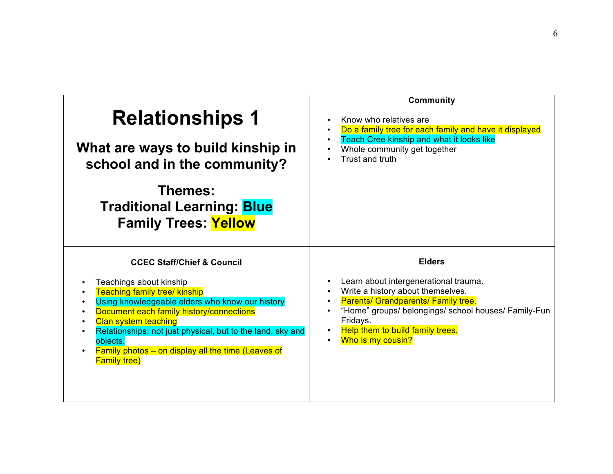| <b>Relationships 1</b>                                                                                                                                                                                                                                                                                                                                                                               | <b>Community</b>                                                                                                                                                                                                                                                |
|------------------------------------------------------------------------------------------------------------------------------------------------------------------------------------------------------------------------------------------------------------------------------------------------------------------------------------------------------------------------------------------------------|-----------------------------------------------------------------------------------------------------------------------------------------------------------------------------------------------------------------------------------------------------------------|
| What are ways to build kinship in                                                                                                                                                                                                                                                                                                                                                                    | Know who relatives are                                                                                                                                                                                                                                          |
| school and in the community?                                                                                                                                                                                                                                                                                                                                                                         | Do a family tree for each family and have it displayed                                                                                                                                                                                                          |
| Themes:                                                                                                                                                                                                                                                                                                                                                                                              | Teach Cree kinship and what it looks like                                                                                                                                                                                                                       |
| <b>Traditional Learning: Blue</b>                                                                                                                                                                                                                                                                                                                                                                    | Whole community get together                                                                                                                                                                                                                                    |
| <b>Family Trees: Yellow</b>                                                                                                                                                                                                                                                                                                                                                                          | Trust and truth                                                                                                                                                                                                                                                 |
| <b>CCEC Staff/Chief &amp; Council</b><br>Teachings about kinship<br><b>Teaching family tree/ kinship</b><br>Using knowledgeable elders who know our history<br>Document each family history/connections<br><b>Clan system teaching</b><br>Relationships: not just physical, but to the land, sky and<br>objects.<br><b>Family photos - on display all the time (Leaves of</b><br><b>Family tree)</b> | <b>Elders</b><br>Learn about intergenerational trauma.<br>Write a history about themselves.<br>Parents/ Grandparents/ Family tree.<br>"Home" groups/ belongings/ school houses/ Family-Fun<br>Fridays.<br>Help them to build family trees.<br>Who is my cousin? |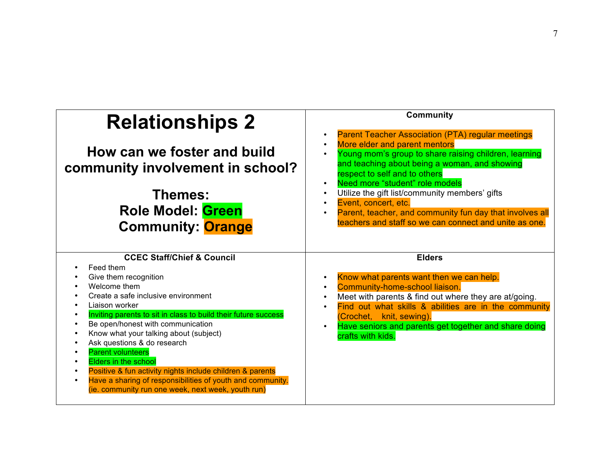| <b>Relationships 2</b><br>How can we foster and build<br>community involvement in school?<br>Themes:<br><b>Role Model: Green</b><br><b>Community: Orange</b>                                                                                                                                                                                                                                                                                                                                                                                                                                               | <b>Community</b><br><b>Parent Teacher Association (PTA) regular meetings</b><br>$\bullet$<br>More elder and parent mentors<br>$\bullet$<br>Young mom's group to share raising children, learning<br>$\bullet$<br>and teaching about being a woman, and showing<br>respect to self and to others<br>Need more "student" role models<br>$\bullet$<br>Utilize the gift list/community members' gifts<br>$\bullet$<br>Event, concert, etc.<br>$\bullet$<br>Parent, teacher, and community fun day that involves all<br>٠<br>teachers and staff so we can connect and unite as one. |
|------------------------------------------------------------------------------------------------------------------------------------------------------------------------------------------------------------------------------------------------------------------------------------------------------------------------------------------------------------------------------------------------------------------------------------------------------------------------------------------------------------------------------------------------------------------------------------------------------------|--------------------------------------------------------------------------------------------------------------------------------------------------------------------------------------------------------------------------------------------------------------------------------------------------------------------------------------------------------------------------------------------------------------------------------------------------------------------------------------------------------------------------------------------------------------------------------|
| <b>CCEC Staff/Chief &amp; Council</b><br>Feed them<br>Give them recognition<br>Welcome them<br>Create a safe inclusive environment<br>Liaison worker<br>Inviting parents to sit in class to build their future success<br>Be open/honest with communication<br>$\bullet$<br>Know what your talking about (subject)<br>Ask questions & do research<br><b>Parent volunteers</b><br><b>Elders in the school</b><br>Positive & fun activity nights include children & parents<br>$\bullet$<br>Have a sharing of responsibilities of youth and community.<br>(ie. community run one week, next week, youth run) | <b>Elders</b><br>Know what parents want then we can help.<br>$\bullet$<br>Community-home-school liaison.<br>$\bullet$<br>Meet with parents & find out where they are at/going.<br>$\bullet$<br>Find out what skills & abilities are in the community<br>$\bullet$<br>(Crochet, knit, sewing).<br>Have seniors and parents get together and share doing<br>$\bullet$<br>crafts with kids.                                                                                                                                                                                       |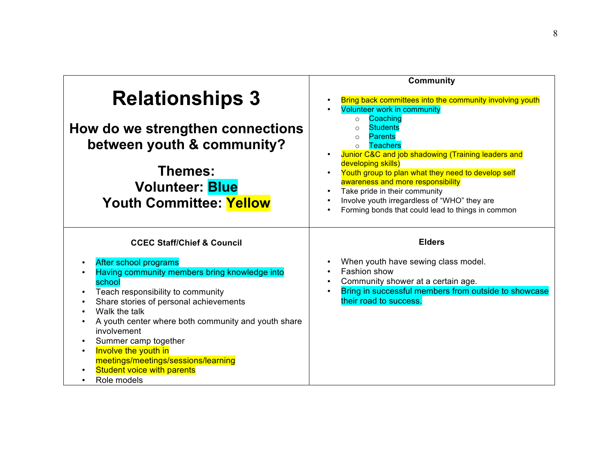|                                                                                                                                                                                                                                                                                                                                                                                                     | <b>Community</b>                                                                                                                                                                                                                                                                                                                                                                                                                                                                                                    |
|-----------------------------------------------------------------------------------------------------------------------------------------------------------------------------------------------------------------------------------------------------------------------------------------------------------------------------------------------------------------------------------------------------|---------------------------------------------------------------------------------------------------------------------------------------------------------------------------------------------------------------------------------------------------------------------------------------------------------------------------------------------------------------------------------------------------------------------------------------------------------------------------------------------------------------------|
| <b>Relationships 3</b><br>How do we strengthen connections<br>between youth & community?<br>Themes:<br><b>Volunteer: Blue</b><br><b>Youth Committee: Yellow</b>                                                                                                                                                                                                                                     | Bring back committees into the community involving youth<br><b>Volunteer work in community</b><br>Coaching<br>$\Omega$<br><b>Students</b><br>$\Omega$<br><b>Parents</b><br>$\Omega$<br><b>Teachers</b><br>Junior C&C and job shadowing (Training leaders and<br>developing skills)<br>Youth group to plan what they need to develop self<br>awareness and more responsibility<br>Take pride in their community<br>Involve youth irregardless of "WHO" they are<br>Forming bonds that could lead to things in common |
| <b>CCEC Staff/Chief &amp; Council</b><br>After school programs<br>Having community members bring knowledge into<br>school<br>Teach responsibility to community<br>Share stories of personal achievements<br>$\bullet$<br>Walk the talk<br>A youth center where both community and youth share<br>involvement<br>Summer camp together<br>Involve the youth in<br>meetings/meetings/sessions/learning | <b>Elders</b><br>When youth have sewing class model.<br>Fashion show<br>Community shower at a certain age.<br>Bring in successful members from outside to showcase<br>their road to success.                                                                                                                                                                                                                                                                                                                        |
| <b>Student voice with parents</b><br>Role models                                                                                                                                                                                                                                                                                                                                                    |                                                                                                                                                                                                                                                                                                                                                                                                                                                                                                                     |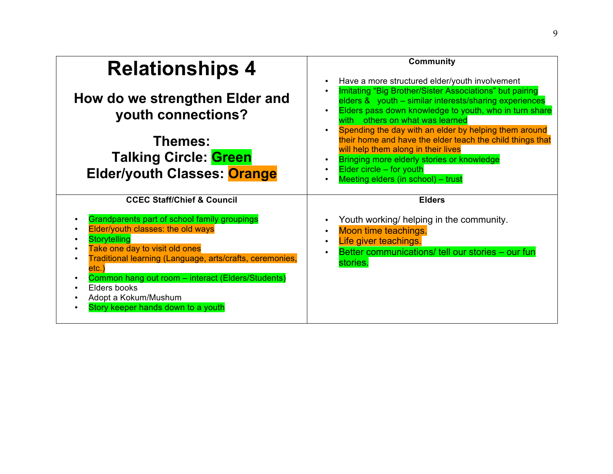| <b>Relationships 4</b><br>How do we strengthen Elder and<br>youth connections?<br>Themes:<br><b>Talking Circle: Green</b><br><b>Elder/youth Classes: Orange</b>                                                                                                                                                                                                 | <b>Community</b><br>Have a more structured elder/youth involvement<br>Imitating "Big Brother/Sister Associations" but pairing<br>elders & youth - similar interests/sharing experiences<br>Elders pass down knowledge to youth, who in turn share<br>others on what was learned<br>with<br>Spending the day with an elder by helping them around<br>their home and have the elder teach the child things that<br>will help them along in their lives<br>Bringing more elderly stories or knowledge<br>Elder circle - for youth<br>Meeting elders (in school) - trust |
|-----------------------------------------------------------------------------------------------------------------------------------------------------------------------------------------------------------------------------------------------------------------------------------------------------------------------------------------------------------------|----------------------------------------------------------------------------------------------------------------------------------------------------------------------------------------------------------------------------------------------------------------------------------------------------------------------------------------------------------------------------------------------------------------------------------------------------------------------------------------------------------------------------------------------------------------------|
| <b>CCEC Staff/Chief &amp; Council</b>                                                                                                                                                                                                                                                                                                                           | <b>Elders</b>                                                                                                                                                                                                                                                                                                                                                                                                                                                                                                                                                        |
| Grandparents part of school family groupings<br>Elder/youth classes: the old ways<br><b>Storytelling</b><br>Take one day to visit old ones<br>Traditional learning (Language, arts/crafts, ceremonies,<br>$\bullet$<br>etc.`<br>Common hang out room - interact (Elders/Students)<br>Elders books<br>Adopt a Kokum/Mushum<br>Story keeper hands down to a youth | Youth working/ helping in the community.<br>Moon time teachings.<br>Life giver teachings.<br>$\bullet$<br>Better communications/ tell our stories - our fun<br>stories.                                                                                                                                                                                                                                                                                                                                                                                              |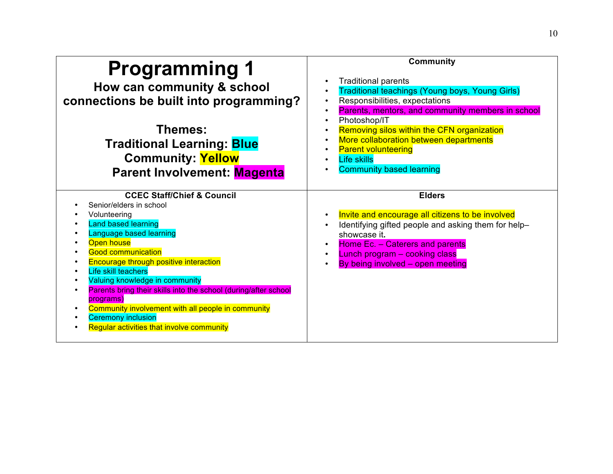| <b>Programming 1</b><br>How can community & school<br>connections be built into programming?<br>Themes:<br><b>Traditional Learning: Blue</b><br><b>Community: Yellow</b><br>Parent Involvement: Magenta                                                                                                                                                                                                                                                                                                 | <b>Community</b><br><b>Traditional parents</b><br><b>Traditional teachings (Young boys, Young Girls)</b><br>Responsibilities, expectations<br>Parents, mentors, and community members in school<br>Photoshop/IT<br>Removing silos within the CFN organization<br>More collaboration between departments<br><b>Parent volunteering</b><br><b>Life skills</b><br><b>Community based learning</b> |
|---------------------------------------------------------------------------------------------------------------------------------------------------------------------------------------------------------------------------------------------------------------------------------------------------------------------------------------------------------------------------------------------------------------------------------------------------------------------------------------------------------|------------------------------------------------------------------------------------------------------------------------------------------------------------------------------------------------------------------------------------------------------------------------------------------------------------------------------------------------------------------------------------------------|
| <b>CCEC Staff/Chief &amp; Council</b><br>Senior/elders in school<br>Volunteering<br>Land based learning<br>Language based learning<br>Open house<br><b>Good communication</b><br><b>Encourage through positive interaction</b><br>Life skill teachers<br>Valuing knowledge in community<br>Parents bring their skills into the school (during/after school<br>programs)<br>Community involvement with all people in community<br><b>Ceremony inclusion</b><br>Regular activities that involve community | <b>Elders</b><br>Invite and encourage all citizens to be involved<br>Identifying gifted people and asking them for help-<br>showcase it.<br>Home Ec. - Caterers and parents<br>Lunch program - cooking class<br>By being involved - open meeting                                                                                                                                               |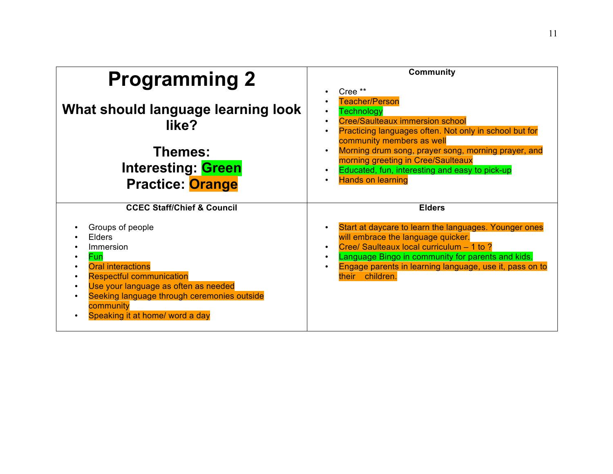| <b>Programming 2</b>                                                                                                                                                                                                                                                                                        | <b>Community</b><br>Cree **<br>$\bullet$                                                                                                                                                                                                                                                                                                                                                                                             |
|-------------------------------------------------------------------------------------------------------------------------------------------------------------------------------------------------------------------------------------------------------------------------------------------------------------|--------------------------------------------------------------------------------------------------------------------------------------------------------------------------------------------------------------------------------------------------------------------------------------------------------------------------------------------------------------------------------------------------------------------------------------|
| What should language learning look<br>like?<br>Themes:<br><b>Interesting: Green</b><br><b>Practice: Orange</b>                                                                                                                                                                                              | <b>Teacher/Person</b><br><b>Technology</b><br>$\bullet$<br><b>Cree/Saulteaux immersion school</b><br>$\bullet$<br>Practicing languages often. Not only in school but for<br>$\bullet$<br>community members as well<br>Morning drum song, prayer song, morning prayer, and<br>$\bullet$<br>morning greeting in Cree/Saulteaux<br>Educated, fun, interesting and easy to pick-up<br>$\bullet$<br><b>Hands on learning</b><br>$\bullet$ |
| <b>CCEC Staff/Chief &amp; Council</b><br>Groups of people<br><b>Elders</b><br>Immersion<br><b>Fun</b><br><b>Oral interactions</b><br><b>Respectful communication</b><br>Use your language as often as needed<br>Seeking language through ceremonies outside<br>community<br>Speaking it at home/ word a day | <b>Elders</b><br>Start at daycare to learn the languages. Younger ones<br>will embrace the language quicker.<br>Cree/ Saulteaux local curriculum - 1 to ?<br>$\bullet$<br>Language Bingo in community for parents and kids.<br>$\bullet$<br>Engage parents in learning language, use it, pass on to<br>$\bullet$<br>their children.                                                                                                  |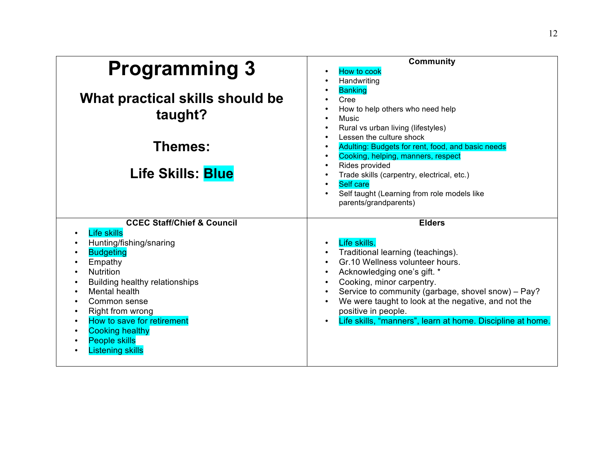| <b>Programming 3</b>                  | <b>Community</b><br>How to cook                            |
|---------------------------------------|------------------------------------------------------------|
|                                       | Handwriting                                                |
|                                       | <b>Banking</b>                                             |
| What practical skills should be       | Cree                                                       |
|                                       | How to help others who need help                           |
| taught?                               | Music                                                      |
|                                       | Rural vs urban living (lifestyles)                         |
|                                       | Lessen the culture shock                                   |
| Themes:                               | Adulting: Budgets for rent, food, and basic needs          |
|                                       | Cooking, helping, manners, respect                         |
|                                       | Rides provided                                             |
| <b>Life Skills: Blue</b>              | Trade skills (carpentry, electrical, etc.)                 |
|                                       | <b>Self care</b>                                           |
|                                       | Self taught (Learning from role models like                |
|                                       | parents/grandparents)                                      |
|                                       |                                                            |
| <b>CCEC Staff/Chief &amp; Council</b> | <b>Elders</b>                                              |
| <b>Life skills</b>                    |                                                            |
| Hunting/fishing/snaring               | Life skills.                                               |
| <b>Budgeting</b>                      | Traditional learning (teachings).                          |
| Empathy                               | Gr.10 Wellness volunteer hours.                            |
| <b>Nutrition</b>                      | Acknowledging one's gift. *                                |
| <b>Building healthy relationships</b> | Cooking, minor carpentry.                                  |
| Mental health                         | Service to community (garbage, shovel snow) - Pay?         |
| Common sense                          | We were taught to look at the negative, and not the        |
| Right from wrong                      | positive in people.                                        |
| How to save for retirement            | Life skills, "manners", learn at home. Discipline at home. |
| <b>Cooking healthy</b>                |                                                            |
| <b>People skills</b>                  |                                                            |
| <b>Listening skills</b>               |                                                            |
|                                       |                                                            |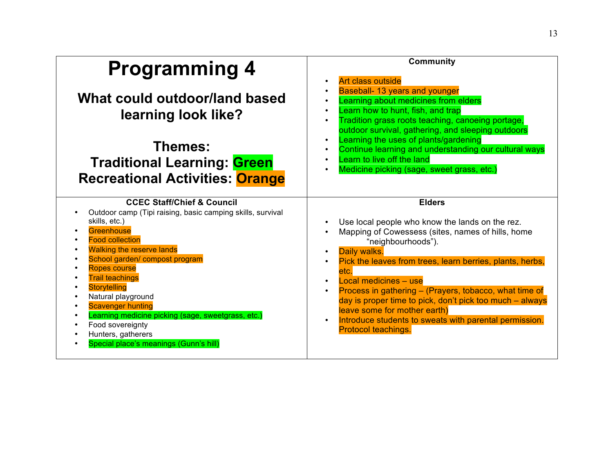| <b>Programming 4</b><br>What could outdoor/land based<br>learning look like?<br>Themes:<br><b>Traditional Learning: Green</b><br><b>Recreational Activities: Orange</b> | <b>Community</b><br>Art class outside<br>$\bullet$<br>Baseball- 13 years and younger<br>Learning about medicines from elders<br>Learn how to hunt, fish, and trap<br>$\bullet$<br>Tradition grass roots teaching, canoeing portage,<br>$\bullet$<br>outdoor survival, gathering, and sleeping outdoors<br>Learning the uses of plants/gardening<br>$\bullet$<br>Continue learning and understanding our cultural ways<br>$\bullet$<br>Learn to live off the land<br>$\bullet$<br>Medicine picking (sage, sweet grass, etc.)<br>$\bullet$ |
|-------------------------------------------------------------------------------------------------------------------------------------------------------------------------|------------------------------------------------------------------------------------------------------------------------------------------------------------------------------------------------------------------------------------------------------------------------------------------------------------------------------------------------------------------------------------------------------------------------------------------------------------------------------------------------------------------------------------------|
| <b>CCEC Staff/Chief &amp; Council</b>                                                                                                                                   | <b>Elders</b>                                                                                                                                                                                                                                                                                                                                                                                                                                                                                                                            |
| Outdoor camp (Tipi raising, basic camping skills, survival                                                                                                              | Use local people who know the lands on the rez.                                                                                                                                                                                                                                                                                                                                                                                                                                                                                          |
| skills, etc.)                                                                                                                                                           | Mapping of Cowessess (sites, names of hills, home                                                                                                                                                                                                                                                                                                                                                                                                                                                                                        |
| Greenhouse                                                                                                                                                              | "neighbourhoods").                                                                                                                                                                                                                                                                                                                                                                                                                                                                                                                       |
| <b>Food collection</b>                                                                                                                                                  | Daily walks.                                                                                                                                                                                                                                                                                                                                                                                                                                                                                                                             |
| <b>Walking the reserve lands</b>                                                                                                                                        | $\bullet$                                                                                                                                                                                                                                                                                                                                                                                                                                                                                                                                |
| School garden/ compost program                                                                                                                                          | Pick the leaves from trees, learn berries, plants, herbs,                                                                                                                                                                                                                                                                                                                                                                                                                                                                                |
| <b>Ropes course</b>                                                                                                                                                     | etc.                                                                                                                                                                                                                                                                                                                                                                                                                                                                                                                                     |
| <b>Trail teachings</b>                                                                                                                                                  | Local medicines - use                                                                                                                                                                                                                                                                                                                                                                                                                                                                                                                    |
| <b>Storytelling</b>                                                                                                                                                     | Process in gathering - (Prayers, tobacco, what time of                                                                                                                                                                                                                                                                                                                                                                                                                                                                                   |
| Natural playground                                                                                                                                                      | $\bullet$                                                                                                                                                                                                                                                                                                                                                                                                                                                                                                                                |
| <b>Scavenger hunting</b>                                                                                                                                                | day is proper time to pick, don't pick too much - always                                                                                                                                                                                                                                                                                                                                                                                                                                                                                 |
| Learning medicine picking (sage, sweetgrass, etc.)                                                                                                                      | leave some for mother earth)                                                                                                                                                                                                                                                                                                                                                                                                                                                                                                             |
| Food sovereignty                                                                                                                                                        | Introduce students to sweats with parental permission.                                                                                                                                                                                                                                                                                                                                                                                                                                                                                   |
| Hunters, gatherers                                                                                                                                                      | $\bullet$                                                                                                                                                                                                                                                                                                                                                                                                                                                                                                                                |
| Special place's meanings (Gunn's hill)                                                                                                                                  | Protocol teachings.                                                                                                                                                                                                                                                                                                                                                                                                                                                                                                                      |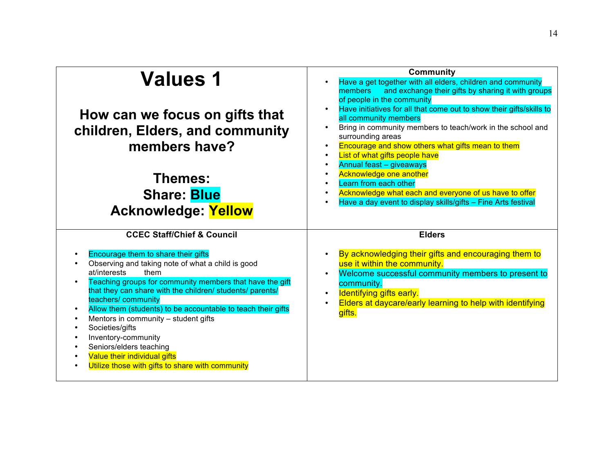| <b>Values 1</b><br>How can we focus on gifts that<br>children, Elders, and community<br>members have?                                                                                                                                                                                                                                                                                                                                                                                                                                                                    | <b>Community</b><br>Have a get together with all elders, children and community<br>and exchange their gifts by sharing it with groups<br>members<br>of people in the community<br>Have initiatives for all that come out to show their gifts/skills to<br>all community members<br>Bring in community members to teach/work in the school and<br>surrounding areas<br>Encourage and show others what gifts mean to them<br>List of what gifts people have<br>Annual feast - giveaways |
|--------------------------------------------------------------------------------------------------------------------------------------------------------------------------------------------------------------------------------------------------------------------------------------------------------------------------------------------------------------------------------------------------------------------------------------------------------------------------------------------------------------------------------------------------------------------------|---------------------------------------------------------------------------------------------------------------------------------------------------------------------------------------------------------------------------------------------------------------------------------------------------------------------------------------------------------------------------------------------------------------------------------------------------------------------------------------|
| Themes:<br><b>Share: Blue</b><br><b>Acknowledge: Yellow</b>                                                                                                                                                                                                                                                                                                                                                                                                                                                                                                              | Acknowledge one another<br>Learn from each other<br>Acknowledge what each and everyone of us have to offer<br>Have a day event to display skills/gifts - Fine Arts festival                                                                                                                                                                                                                                                                                                           |
| <b>CCEC Staff/Chief &amp; Council</b>                                                                                                                                                                                                                                                                                                                                                                                                                                                                                                                                    | <b>Elders</b>                                                                                                                                                                                                                                                                                                                                                                                                                                                                         |
| Encourage them to share their gifts<br>Observing and taking note of what a child is good<br>at/interests<br>them<br>Teaching groups for community members that have the gift<br>$\bullet$<br>that they can share with the children/ students/ parents/<br>teachers/ community<br>Allow them (students) to be accountable to teach their gifts<br>$\bullet$<br>Mentors in community - student gifts<br>$\bullet$<br>Societies/gifts<br>Inventory-community<br>Seniors/elders teaching<br>Value their individual gifts<br>Utilize those with gifts to share with community | By acknowledging their gifts and encouraging them to<br>use it within the community.<br>Welcome successful community members to present to<br>community.<br>Identifying gifts early.<br>Elders at daycare/early learning to help with identifying<br>gifts.                                                                                                                                                                                                                           |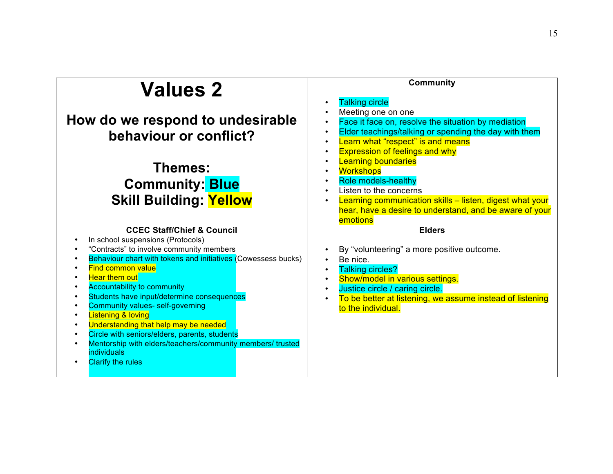| <b>Values 2</b>                                                                                                                                                                                                                                                                                                                                                                                                                                                                                                                                                                                                                                                          | <b>Community</b>                                                                                                                                                                                                                                                                                                                                                                                                                                                                                                              |
|--------------------------------------------------------------------------------------------------------------------------------------------------------------------------------------------------------------------------------------------------------------------------------------------------------------------------------------------------------------------------------------------------------------------------------------------------------------------------------------------------------------------------------------------------------------------------------------------------------------------------------------------------------------------------|-------------------------------------------------------------------------------------------------------------------------------------------------------------------------------------------------------------------------------------------------------------------------------------------------------------------------------------------------------------------------------------------------------------------------------------------------------------------------------------------------------------------------------|
| How do we respond to undesirable<br>behaviour or conflict?<br>Themes:<br><b>Community: Blue</b><br><b>Skill Building: Yellow</b>                                                                                                                                                                                                                                                                                                                                                                                                                                                                                                                                         | <b>Talking circle</b><br>Meeting one on one<br>Face it face on, resolve the situation by mediation<br>$\bullet$<br>Elder teachings/talking or spending the day with them<br>$\bullet$<br>Learn what "respect" is and means<br>$\bullet$<br><b>Expression of feelings and why</b><br><b>Learning boundaries</b><br><b>Workshops</b><br><b>Role models-healthy</b><br>Listen to the concerns<br>Learning communication skills - listen, digest what your<br>hear, have a desire to understand, and be aware of your<br>emotions |
| <b>CCEC Staff/Chief &amp; Council</b><br>In school suspensions (Protocols)<br>"Contracts" to involve community members<br>Behaviour chart with tokens and initiatives (Cowessess bucks)<br><b>Find common value</b><br><b>Hear them out</b><br><b>Accountability to community</b><br>Students have input/determine consequences<br>$\bullet$<br>Community values- self-governing<br><b>Listening &amp; loving</b><br>Understanding that help may be needed<br>$\bullet$<br>Circle with seniors/elders, parents, students<br>$\bullet$<br>Mentorship with elders/teachers/community members/ trusted<br>$\bullet$<br>individuals<br><b>Clarify the rules</b><br>$\bullet$ | <b>Elders</b><br>By "volunteering" a more positive outcome.<br>Be nice.<br><b>Talking circles?</b><br>Show/model in various settings.<br>$\bullet$<br>Justice circle / caring circle.<br>To be better at listening, we assume instead of listening<br>to the individual.                                                                                                                                                                                                                                                      |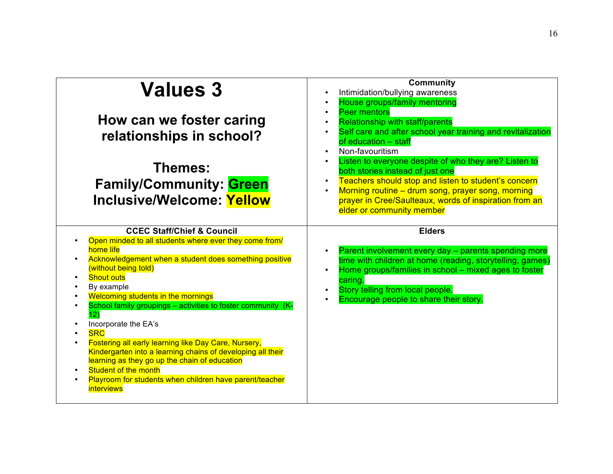| <b>Values 3</b><br>How can we foster caring<br>relationships in school?<br>Themes:<br><b>Family/Community: Green</b><br><b>Inclusive/Welcome: Yellow</b>                                                                                                                                                                                                                                                                                                                                                                                                                                                                                                                                               | <b>Community</b><br>Intimidation/bullying awareness<br>House groups/family mentoring<br><b>Peer mentors</b><br><b>Relationship with staff/parents</b><br>Self care and after school year training and revitalization<br>of education - staff<br>Non-favouritism<br>Listen to everyone despite of who they are? Listen to<br>both stories instead of just one<br>Teachers should stop and listen to student's concern<br>Morning routine - drum song, prayer song, morning<br>prayer in Cree/Saulteaux, words of inspiration from an<br>elder or community member |
|--------------------------------------------------------------------------------------------------------------------------------------------------------------------------------------------------------------------------------------------------------------------------------------------------------------------------------------------------------------------------------------------------------------------------------------------------------------------------------------------------------------------------------------------------------------------------------------------------------------------------------------------------------------------------------------------------------|------------------------------------------------------------------------------------------------------------------------------------------------------------------------------------------------------------------------------------------------------------------------------------------------------------------------------------------------------------------------------------------------------------------------------------------------------------------------------------------------------------------------------------------------------------------|
| <b>CCEC Staff/Chief &amp; Council</b><br>Open minded to all students where ever they come from/<br>home life<br>Acknowledgement when a student does something positive<br>$\bullet$<br>(without being told)<br><b>Shout outs</b><br>By example<br><b>Welcoming students in the mornings</b><br>School family groupings - activities to foster community (K-<br>12)<br>Incorporate the EA's<br><b>SRC</b><br><b>Fostering all early learning like Day Care, Nursery,</b><br>Kindergarten into a learning chains of developing all their<br>learning as they go up the chain of education<br>Student of the month<br>Playroom for students when children have parent/teacher<br><i><b>interviews</b></i> | <b>Elders</b><br>Parent involvement every day - parents spending more<br>time with children at home (reading, storytelling, games)<br>Home groups/families in school - mixed ages to foster<br>caring.<br>Story telling from local people.<br>Encourage people to share their story.                                                                                                                                                                                                                                                                             |